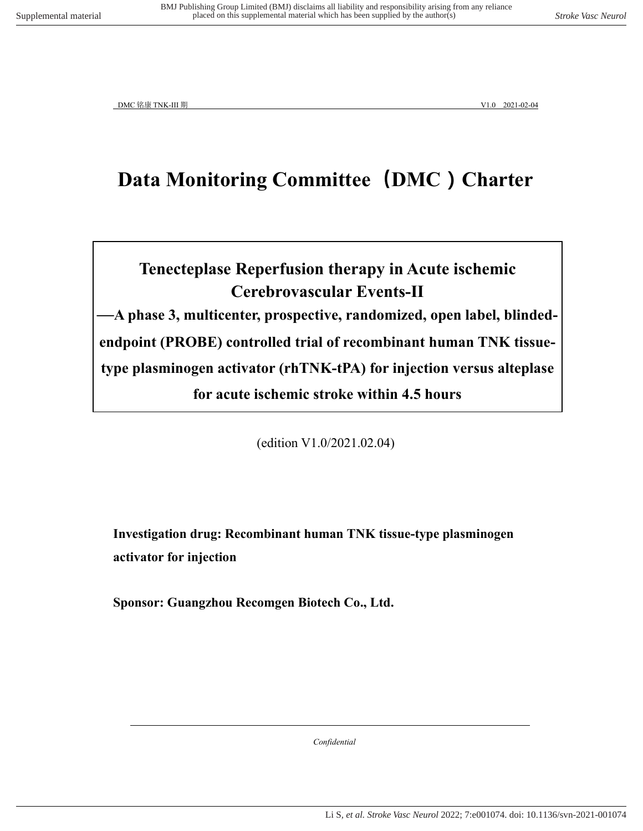# **Data Monitoring Committee(DMC)Charter**

# **Tenecteplase Reperfusion therapy in Acute ischemic Cerebrovascular Events-Ⅱ —A phase 3, multicenter, prospective, randomized, open label, blindedendpoint (PROBE) controlled trial of recombinant human TNK tissue-**

**type plasminogen activator (rhTNK-tPA) for injection versus alteplase** 

**for acute ischemic stroke within 4.5 hours** 

(edition V1.0/2021.02.04)

**Investigation drug: Recombinant human TNK tissue-type plasminogen activator for injection**

**Sponsor: Guangzhou Recomgen Biotech Co., Ltd.**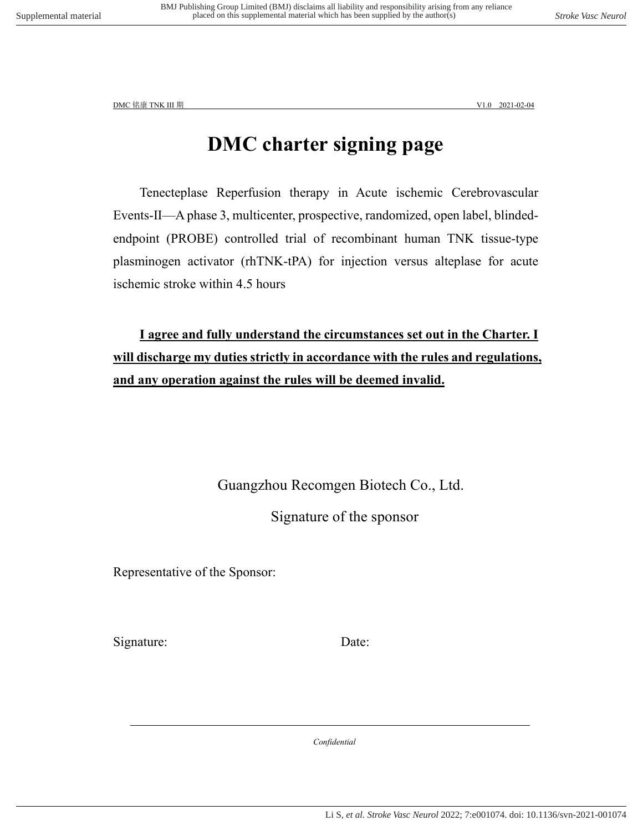### **DMC charter signing page**

Tenecteplase Reperfusion therapy in Acute ischemic Cerebrovascular Events-Ⅱ—A phase 3, multicenter, prospective, randomized, open label, blindedendpoint (PROBE) controlled trial of recombinant human TNK tissue-type plasminogen activator (rhTNK-tPA) for injection versus alteplase for acute ischemic stroke within 4.5 hours

**I agree and fully understand the circumstances set out in the Charter. I will discharge my duties strictly in accordance with the rules and regulations, and any operation against the rules will be deemed invalid.**

Guangzhou Recomgen Biotech Co., Ltd.

Signature of the sponsor

Representative of the Sponsor:

Signature: Date: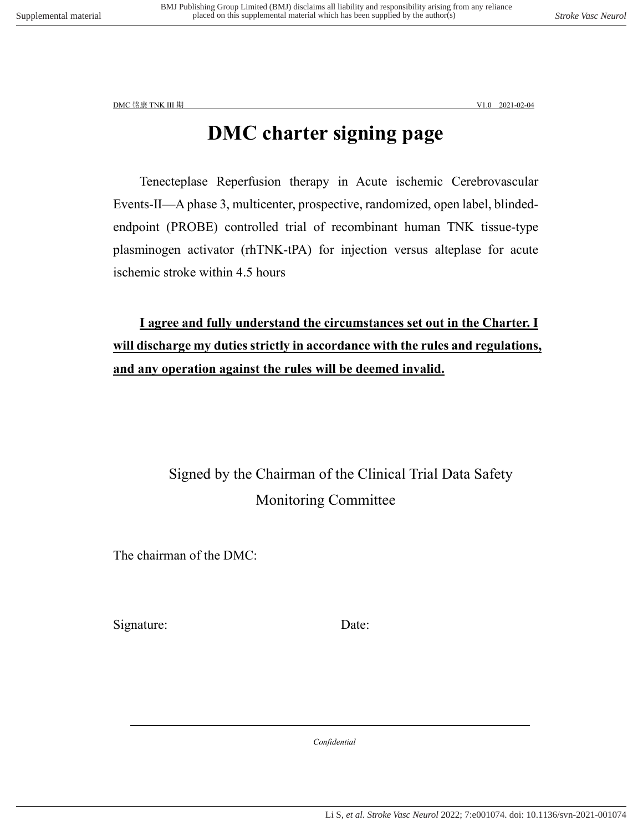# **DMC charter signing page**

Tenecteplase Reperfusion therapy in Acute ischemic Cerebrovascular Events-Ⅱ—A phase 3, multicenter, prospective, randomized, open label, blindedendpoint (PROBE) controlled trial of recombinant human TNK tissue-type plasminogen activator (rhTNK-tPA) for injection versus alteplase for acute ischemic stroke within 4.5 hours

**I agree and fully understand the circumstances set out in the Charter. I will discharge my duties strictly in accordance with the rules and regulations, and any operation against the rules will be deemed invalid.**

### Signed by the Chairman of the Clinical Trial Data Safety Monitoring Committee

The chairman of the DMC:

Signature: Date: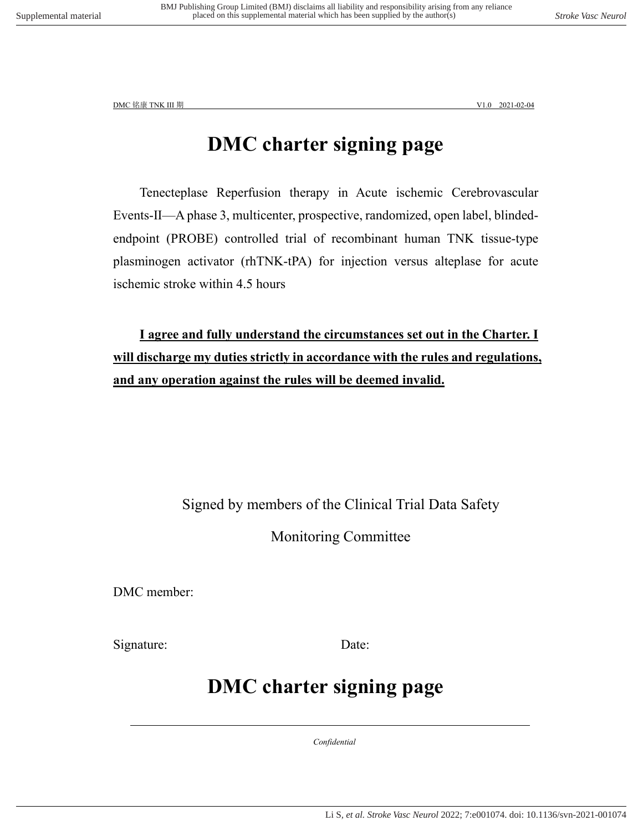### **DMC charter signing page**

Tenecteplase Reperfusion therapy in Acute ischemic Cerebrovascular Events-Ⅱ—A phase 3, multicenter, prospective, randomized, open label, blindedendpoint (PROBE) controlled trial of recombinant human TNK tissue-type plasminogen activator (rhTNK-tPA) for injection versus alteplase for acute ischemic stroke within 4.5 hours

**I agree and fully understand the circumstances set out in the Charter. I will discharge my duties strictly in accordance with the rules and regulations, and any operation against the rules will be deemed invalid.**

Signed by members of the Clinical Trial Data Safety

Monitoring Committee

DMC member:

Signature: Date:

### **DMC charter signing page**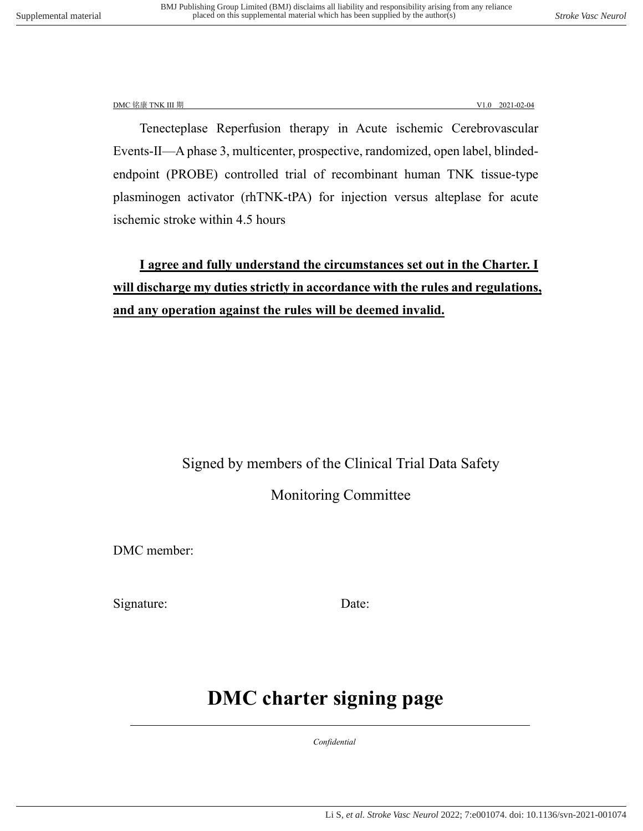Tenecteplase Reperfusion therapy in Acute ischemic Cerebrovascular Events-Ⅱ—A phase 3, multicenter, prospective, randomized, open label, blindedendpoint (PROBE) controlled trial of recombinant human TNK tissue-type plasminogen activator (rhTNK-tPA) for injection versus alteplase for acute ischemic stroke within 4.5 hours

**I agree and fully understand the circumstances set out in the Charter. I will discharge my duties strictly in accordance with the rules and regulations, and any operation against the rules will be deemed invalid.**

### Signed by members of the Clinical Trial Data Safety

Monitoring Committee

DMC member:

Signature: Date:

## **DMC charter signing page**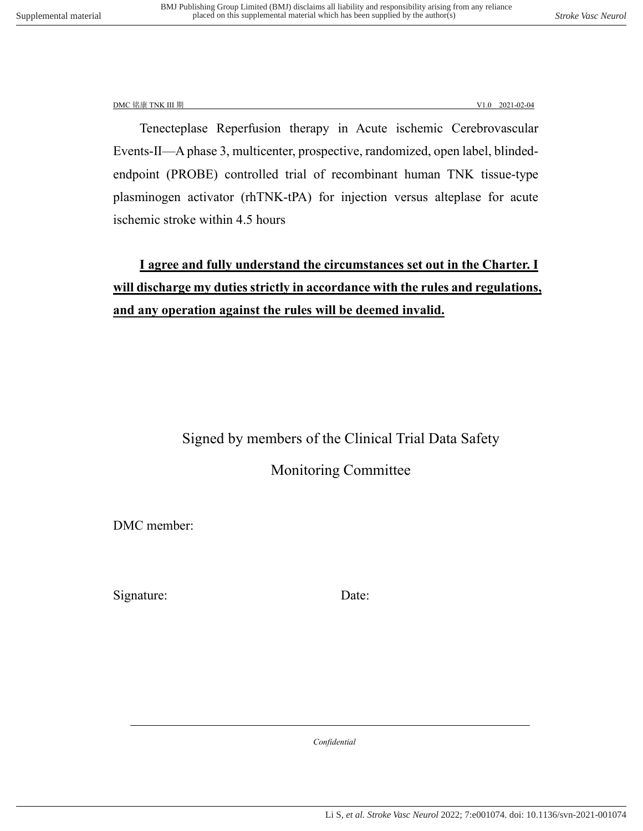Tenecteplase Reperfusion therapy in Acute ischemic Cerebrovascular Events-Ⅱ—A phase 3, multicenter, prospective, randomized, open label, blindedendpoint (PROBE) controlled trial of recombinant human TNK tissue-type plasminogen activator (rhTNK-tPA) for injection versus alteplase for acute ischemic stroke within 4.5 hours

### **I agree and fully understand the circumstances set out in the Charter. I will discharge my duties strictly in accordance with the rules and regulations, and any operation against the rules will be deemed invalid.**

### Signed by members of the Clinical Trial Data Safety

Monitoring Committee

DMC member:

Signature: Date: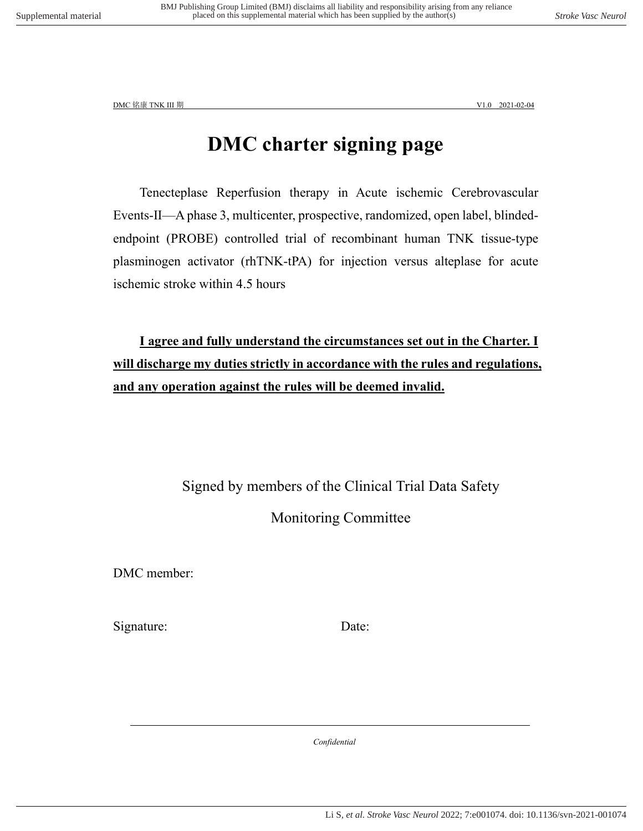### **DMC charter signing page**

Tenecteplase Reperfusion therapy in Acute ischemic Cerebrovascular Events-Ⅱ—A phase 3, multicenter, prospective, randomized, open label, blindedendpoint (PROBE) controlled trial of recombinant human TNK tissue-type plasminogen activator (rhTNK-tPA) for injection versus alteplase for acute ischemic stroke within 4.5 hours

**I agree and fully understand the circumstances set out in the Charter. I will discharge my duties strictly in accordance with the rules and regulations, and any operation against the rules will be deemed invalid.**

> Signed by members of the Clinical Trial Data Safety Monitoring Committee

DMC member:

Signature: Date: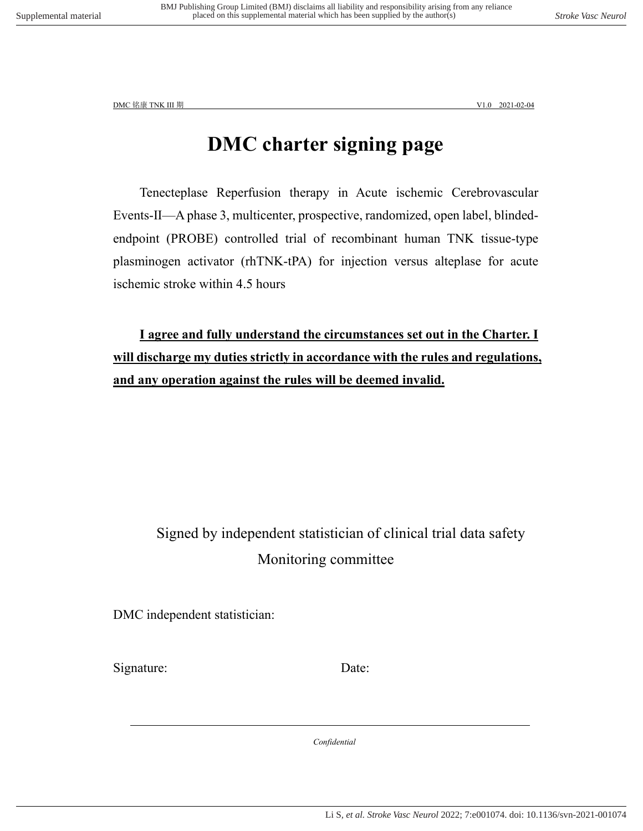### **DMC charter signing page**

Tenecteplase Reperfusion therapy in Acute ischemic Cerebrovascular Events-Ⅱ—A phase 3, multicenter, prospective, randomized, open label, blindedendpoint (PROBE) controlled trial of recombinant human TNK tissue-type plasminogen activator (rhTNK-tPA) for injection versus alteplase for acute ischemic stroke within 4.5 hours

**I agree and fully understand the circumstances set out in the Charter. I will discharge my duties strictly in accordance with the rules and regulations, and any operation against the rules will be deemed invalid.**

### Signed by independent statistician of clinical trial data safety Monitoring committee

DMC independent statistician:

Signature: Date: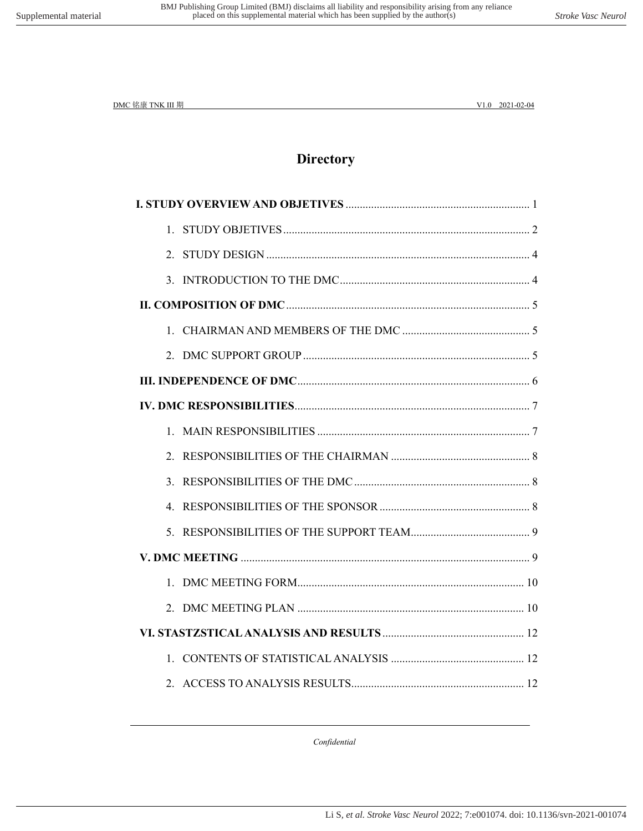### **Directory**

| $\mathcal{R}$ |  |  |
|---------------|--|--|
|               |  |  |
|               |  |  |
|               |  |  |
|               |  |  |
|               |  |  |
|               |  |  |
|               |  |  |
|               |  |  |
|               |  |  |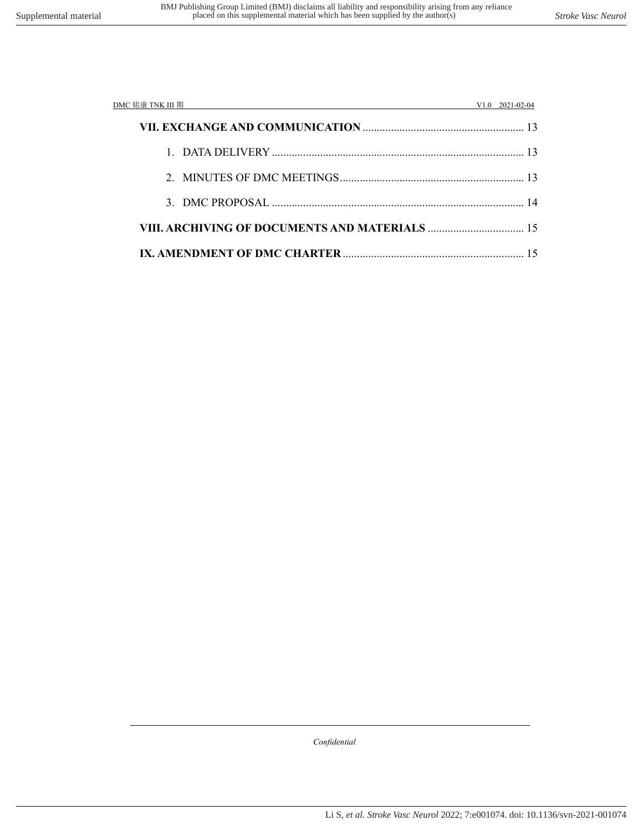| DMC 铭康 TNK III 期 |  | $V1.0$ 2021-02-04 |
|------------------|--|-------------------|
|                  |  |                   |
|                  |  |                   |
|                  |  |                   |
|                  |  |                   |
|                  |  |                   |
|                  |  |                   |

 *Confidential*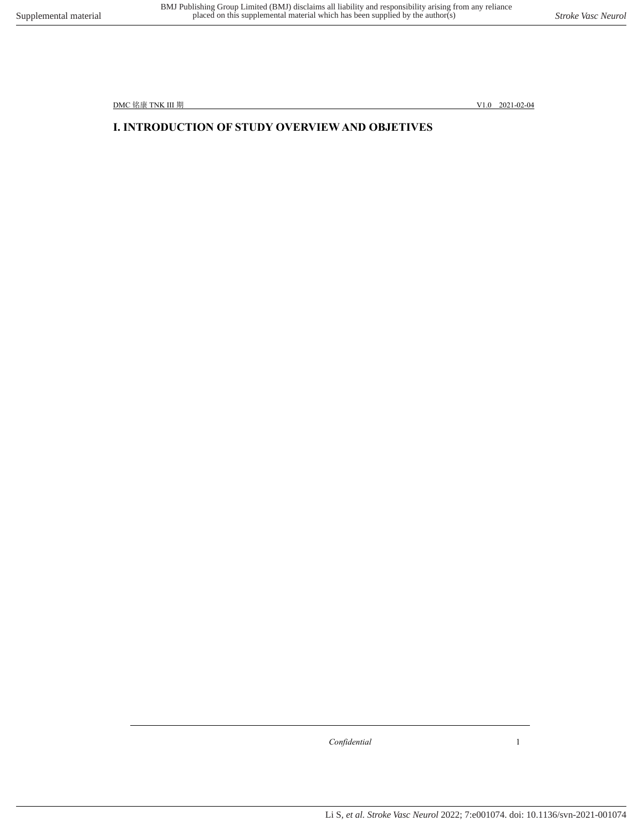### <span id="page-10-0"></span>**Ⅰ. INTRODUCTION OF STUDY OVERVIEW AND OBJETIVES**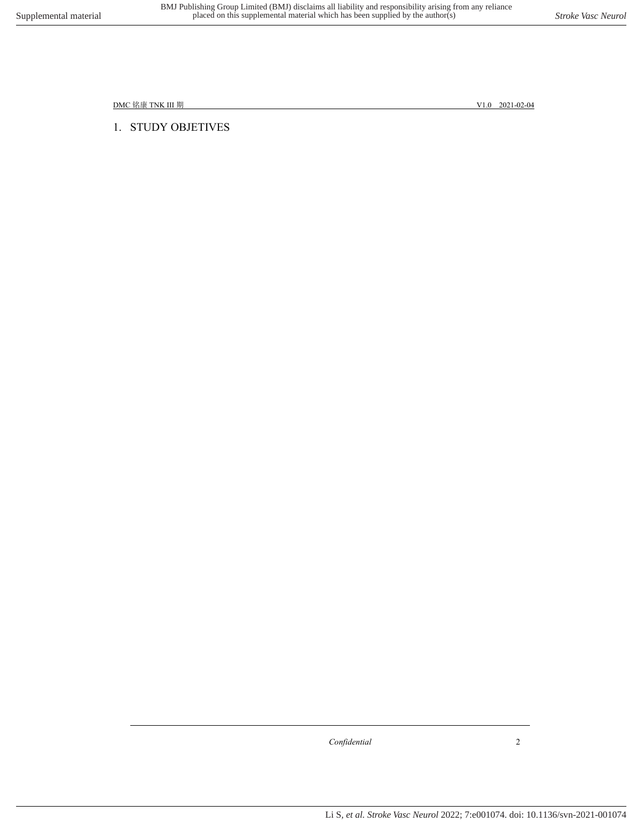<span id="page-11-0"></span>1. STUDY OBJETIVES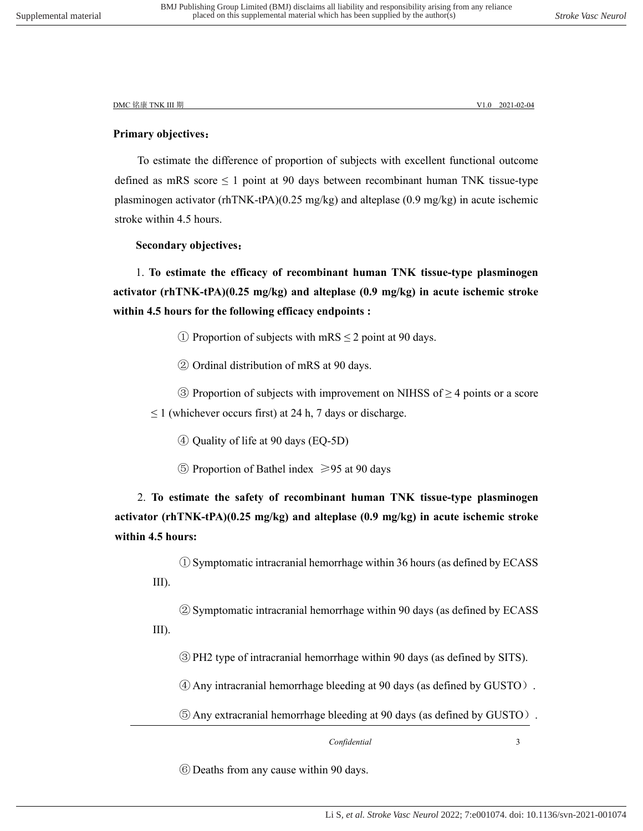#### **Primary objectives**:

To estimate the difference of proportion of subjects with excellent functional outcome defined as mRS score  $\leq 1$  point at 90 days between recombinant human TNK tissue-type plasminogen activator (rhTNK-tPA)(0.25 mg/kg) and alteplase (0.9 mg/kg) in acute ischemic stroke within 4.5 hours.

#### **Secondary objectives**:

1. **To estimate the efficacy of recombinant human TNK tissue-type plasminogen activator (rhTNK-tPA)(0.25 mg/kg) and alteplase (0.9 mg/kg) in acute ischemic stroke within 4.5 hours for the following efficacy endpoints :**

- (1) Proportion of subjects with mRS  $\leq$  2 point at 90 days.
- ② Ordinal distribution of mRS at 90 days.

 $\circled{3}$  Proportion of subjects with improvement on NIHSS of  $\geq$  4 points or a score  $\leq$  1 (whichever occurs first) at 24 h, 7 days or discharge.

- ④ Quality of life at 90 days (EQ-5D)
- ⑤ Proportion of Bathel index ≥95 at 90 days

2. **To estimate the safety of recombinant human TNK tissue-type plasminogen activator (rhTNK-tPA)(0.25 mg/kg) and alteplase (0.9 mg/kg) in acute ischemic stroke within 4.5 hours:**

① Symptomatic intracranial hemorrhage within 36 hours (as defined by ECASS III).

② Symptomatic intracranial hemorrhage within 90 days (as defined by ECASS III).

③ PH2 type of intracranial hemorrhage within 90 days (as defined by SITS).

④ Any intracranial hemorrhage bleeding at 90 days (as defined by GUSTO).

⑤ Any extracranial hemorrhage bleeding at 90 days (as defined by GUSTO).

 *Confidential* 3

⑥ Deaths from any cause within 90 days.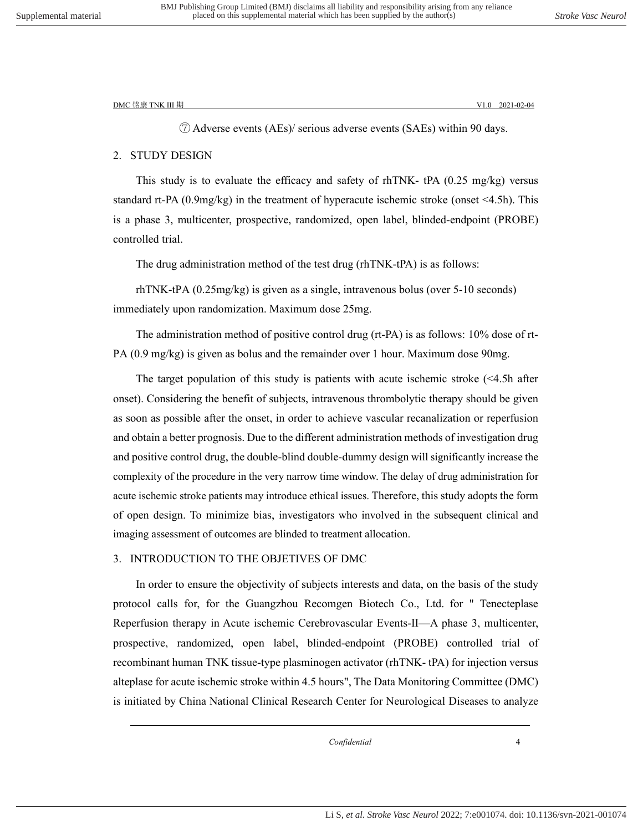⑦ Adverse events (AEs)/ serious adverse events (SAEs) within 90 days.

#### <span id="page-13-0"></span>2. STUDY DESIGN

This study is to evaluate the efficacy and safety of rhTNK-  $tPA$  (0.25 mg/kg) versus standard rt-PA (0.9mg/kg) in the treatment of hyperacute ischemic stroke (onset <4.5h). This is a phase 3, multicenter, prospective, randomized, open label, blinded-endpoint (PROBE) controlled trial.

The drug administration method of the test drug (rhTNK-tPA) is as follows:

rhTNK-tPA (0.25mg/kg) is given as a single, intravenous bolus (over 5-10 seconds) immediately upon randomization. Maximum dose 25mg.

The administration method of positive control drug (rt-PA) is as follows: 10% dose of rt-PA (0.9 mg/kg) is given as bolus and the remainder over 1 hour. Maximum dose 90mg.

The target population of this study is patients with acute ischemic stroke (<4.5h after onset). Considering the benefit of subjects, intravenous thrombolytic therapy should be given as soon as possible after the onset, in order to achieve vascular recanalization or reperfusion and obtain a better prognosis. Due to the different administration methods of investigation drug and positive control drug, the double-blind double-dummy design will significantly increase the complexity of the procedure in the very narrow time window. The delay of drug administration for acute ischemic stroke patients may introduce ethical issues. Therefore, this study adopts the form of open design. To minimize bias, investigators who involved in the subsequent clinical and imaging assessment of outcomes are blinded to treatment allocation.

#### <span id="page-13-1"></span>3. INTRODUCTION TO THE OBJETIVES OF DMC

In order to ensure the objectivity of subjects interests and data, on the basis of the study protocol calls for, for the Guangzhou Recomgen Biotech Co., Ltd. for " Tenecteplase Reperfusion therapy in Acute ischemic Cerebrovascular Events-Ⅱ—A phase 3, multicenter, prospective, randomized, open label, blinded-endpoint (PROBE) controlled trial of recombinant human TNK tissue-type plasminogen activator (rhTNK- tPA) for injection versus alteplase for acute ischemic stroke within 4.5 hours", The Data Monitoring Committee (DMC) is initiated by China National Clinical Research Center for Neurological Diseases to analyze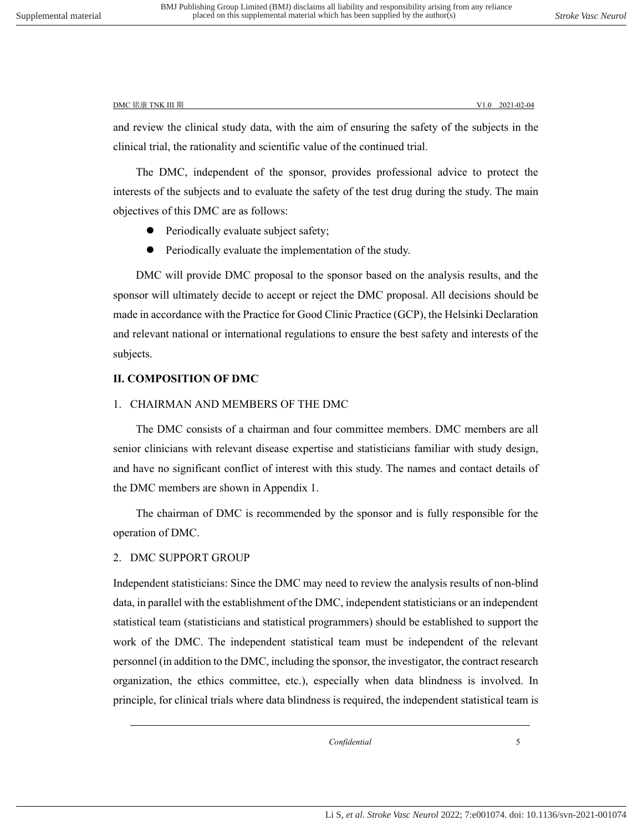and review the clinical study data, with the aim of ensuring the safety of the subjects in the clinical trial, the rationality and scientific value of the continued trial.

The DMC, independent of the sponsor, provides professional advice to protect the interests of the subjects and to evaluate the safety of the test drug during the study. The main objectives of this DMC are as follows:

- Periodically evaluate subject safety;
- Periodically evaluate the implementation of the study.

DMC will provide DMC proposal to the sponsor based on the analysis results, and the sponsor will ultimately decide to accept or reject the DMC proposal. All decisions should be made in accordance with the Practice for Good Clinic Practice (GCP), the Helsinki Declaration and relevant national or international regulations to ensure the best safety and interests of the subjects.

#### <span id="page-14-0"></span>**Ⅱ. COMPOSITION OF DMC**

#### <span id="page-14-1"></span>1. CHAIRMAN AND MEMBERS OF THE DMC

The DMC consists of a chairman and four committee members. DMC members are all senior clinicians with relevant disease expertise and statisticians familiar with study design, and have no significant conflict of interest with this study. The names and contact details of the DMC members are shown in Appendix 1.

The chairman of DMC is recommended by the sponsor and is fully responsible for the operation of DMC.

#### <span id="page-14-2"></span>2. DMC SUPPORT GROUP

Independent statisticians: Since the DMC may need to review the analysis results of non-blind data, in parallel with the establishment of the DMC, independent statisticians or an independent statistical team (statisticians and statistical programmers) should be established to support the work of the DMC. The independent statistical team must be independent of the relevant personnel (in addition to the DMC, including the sponsor, the investigator, the contract research organization, the ethics committee, etc.), especially when data blindness is involved. In principle, for clinical trials where data blindness is required, the independent statistical team is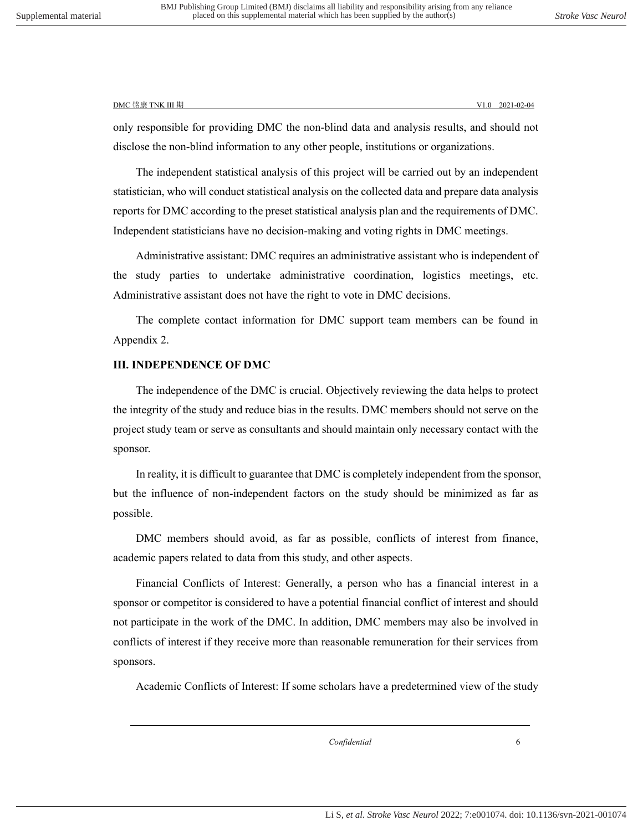only responsible for providing DMC the non-blind data and analysis results, and should not disclose the non-blind information to any other people, institutions or organizations.

The independent statistical analysis of this project will be carried out by an independent statistician, who will conduct statistical analysis on the collected data and prepare data analysis reports for DMC according to the preset statistical analysis plan and the requirements of DMC. Independent statisticians have no decision-making and voting rights in DMC meetings.

Administrative assistant: DMC requires an administrative assistant who is independent of the study parties to undertake administrative coordination, logistics meetings, etc. Administrative assistant does not have the right to vote in DMC decisions.

The complete contact information for DMC support team members can be found in Appendix 2.

#### <span id="page-15-0"></span>**Ⅲ. INDEPENDENCE OF DMC**

The independence of the DMC is crucial. Objectively reviewing the data helps to protect the integrity of the study and reduce bias in the results. DMC members should not serve on the project study team or serve as consultants and should maintain only necessary contact with the sponsor.

In reality, it is difficult to guarantee that DMC is completely independent from the sponsor, but the influence of non-independent factors on the study should be minimized as far as possible.

DMC members should avoid, as far as possible, conflicts of interest from finance, academic papers related to data from this study, and other aspects.

Financial Conflicts of Interest: Generally, a person who has a financial interest in a sponsor or competitor is considered to have a potential financial conflict of interest and should not participate in the work of the DMC. In addition, DMC members may also be involved in conflicts of interest if they receive more than reasonable remuneration for their services from sponsors.

Academic Conflicts of Interest: If some scholars have a predetermined view of the study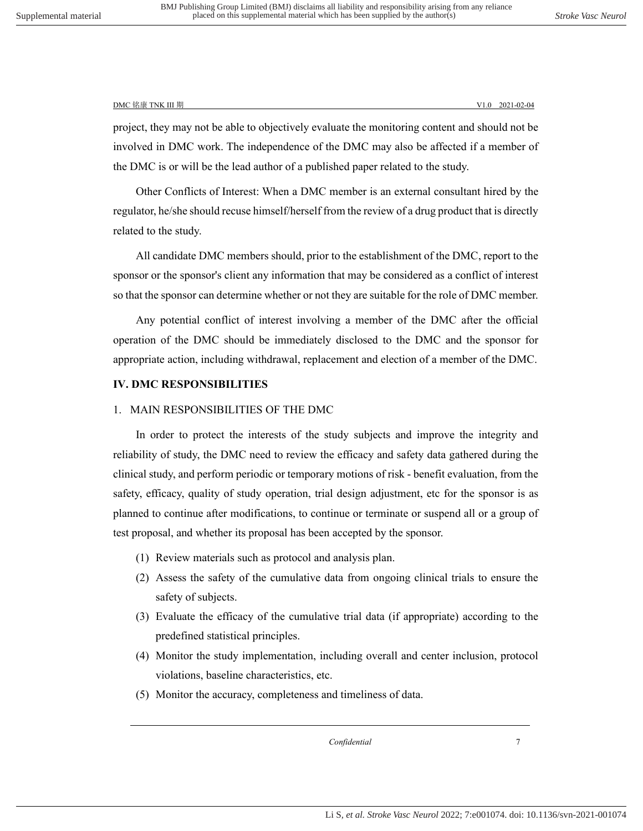project, they may not be able to objectively evaluate the monitoring content and should not be involved in DMC work. The independence of the DMC may also be affected if a member of the DMC is or will be the lead author of a published paper related to the study.

Other Conflicts of Interest: When a DMC member is an external consultant hired by the regulator, he/she should recuse himself/herself from the review of a drug product that is directly related to the study.

All candidate DMC members should, prior to the establishment of the DMC, report to the sponsor or the sponsor's client any information that may be considered as a conflict of interest so that the sponsor can determine whether or not they are suitable for the role of DMC member.

Any potential conflict of interest involving a member of the DMC after the official operation of the DMC should be immediately disclosed to the DMC and the sponsor for appropriate action, including withdrawal, replacement and election of a member of the DMC.

#### <span id="page-16-0"></span>**Ⅳ. DMC RESPONSIBILITIES**

#### <span id="page-16-1"></span>1. MAIN RESPONSIBILITIES OF THE DMC

In order to protect the interests of the study subjects and improve the integrity and reliability of study, the DMC need to review the efficacy and safety data gathered during the clinical study, and perform periodic or temporary motions of risk - benefit evaluation, from the safety, efficacy, quality of study operation, trial design adjustment, etc for the sponsor is as planned to continue after modifications, to continue or terminate or suspend all or a group of test proposal, and whether its proposal has been accepted by the sponsor.

- (1) Review materials such as protocol and analysis plan.
- (2) Assess the safety of the cumulative data from ongoing clinical trials to ensure the safety of subjects.
- (3) Evaluate the efficacy of the cumulative trial data (if appropriate) according to the predefined statistical principles.
- (4) Monitor the study implementation, including overall and center inclusion, protocol violations, baseline characteristics, etc.
- (5) Monitor the accuracy, completeness and timeliness of data.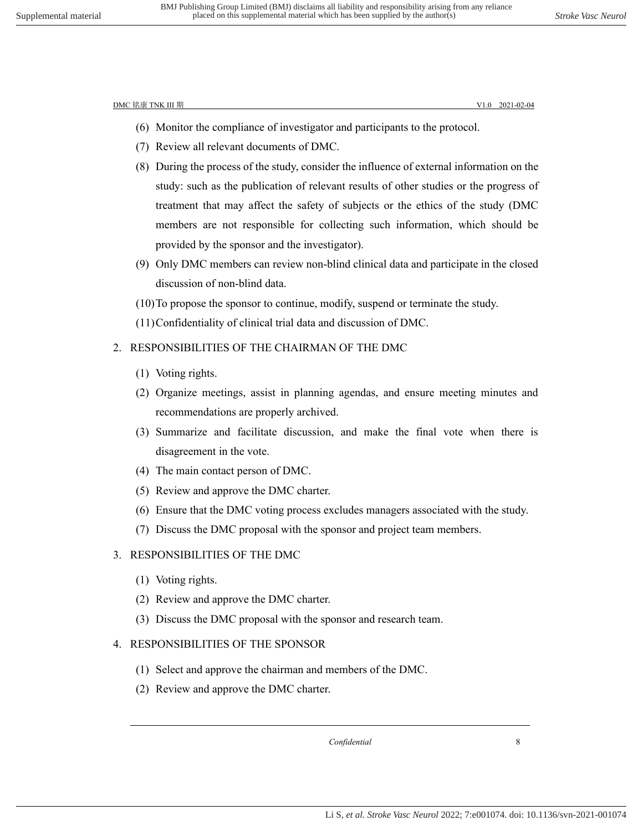- (6) Monitor the compliance of investigator and participants to the protocol.
- (7) Review all relevant documents of DMC.
- (8) During the process of the study, consider the influence of external information on the study: such as the publication of relevant results of other studies or the progress of treatment that may affect the safety of subjects or the ethics of the study (DMC members are not responsible for collecting such information, which should be provided by the sponsor and the investigator).
- (9) Only DMC members can review non-blind clinical data and participate in the closed discussion of non-blind data.
- (10)To propose the sponsor to continue, modify, suspend or terminate the study.
- (11)Confidentiality of clinical trial data and discussion of DMC.

#### <span id="page-17-0"></span>2. RESPONSIBILITIES OF THE CHAIRMAN OF THE DMC

- (1) Voting rights.
- (2) Organize meetings, assist in planning agendas, and ensure meeting minutes and recommendations are properly archived.
- (3) Summarize and facilitate discussion, and make the final vote when there is disagreement in the vote.
- (4) The main contact person of DMC.
- (5) Review and approve the DMC charter.
- (6) Ensure that the DMC voting process excludes managers associated with the study.
- (7) Discuss the DMC proposal with the sponsor and project team members.

#### <span id="page-17-1"></span>3. RESPONSIBILITIES OF THE DMC

(1) Voting rights.

- (2) Review and approve the DMC charter.
- (3) Discuss the DMC proposal with the sponsor and research team.

#### <span id="page-17-2"></span>4. RESPONSIBILITIES OF THE SPONSOR

- (1) Select and approve the chairman and members of the DMC.
- (2) Review and approve the DMC charter.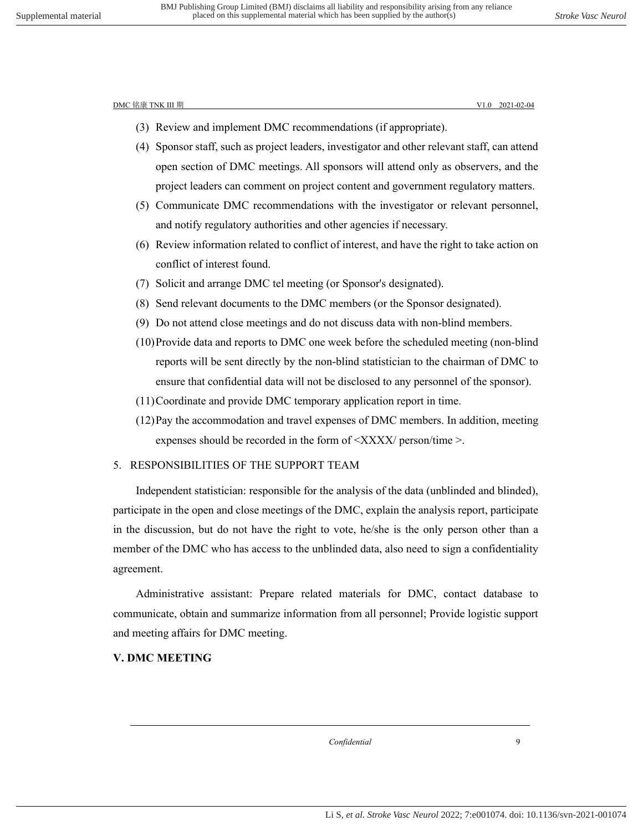- (3) Review and implement DMC recommendations (if appropriate).
- (4) Sponsor staff, such as project leaders, investigator and other relevant staff, can attend open section of DMC meetings. All sponsors will attend only as observers, and the project leaders can comment on project content and government regulatory matters.
- (5) Communicate DMC recommendations with the investigator or relevant personnel, and notify regulatory authorities and other agencies if necessary.
- (6) Review information related to conflict of interest, and have the right to take action on conflict of interest found.
- (7) Solicit and arrange DMC tel meeting (or Sponsor's designated).
- (8) Send relevant documents to the DMC members (or the Sponsor designated).
- (9) Do not attend close meetings and do not discuss data with non-blind members.
- (10)Provide data and reports to DMC one week before the scheduled meeting (non-blind reports will be sent directly by the non-blind statistician to the chairman of DMC to ensure that confidential data will not be disclosed to any personnel of the sponsor).
- (11)Coordinate and provide DMC temporary application report in time.
- (12)Pay the accommodation and travel expenses of DMC members. In addition, meeting expenses should be recorded in the form of  $\langle XXXX \rangle$  person/time  $\ge$ .

#### <span id="page-18-0"></span>5. RESPONSIBILITIES OF THE SUPPORT TEAM

Independent statistician: responsible for the analysis of the data (unblinded and blinded), participate in the open and close meetings of the DMC, explain the analysis report, participate in the discussion, but do not have the right to vote, he/she is the only person other than a member of the DMC who has access to the unblinded data, also need to sign a confidentiality agreement.

Administrative assistant: Prepare related materials for DMC, contact database to communicate, obtain and summarize information from all personnel; Provide logistic support and meeting affairs for DMC meeting.

#### <span id="page-18-1"></span>**Ⅴ. DMC MEETING**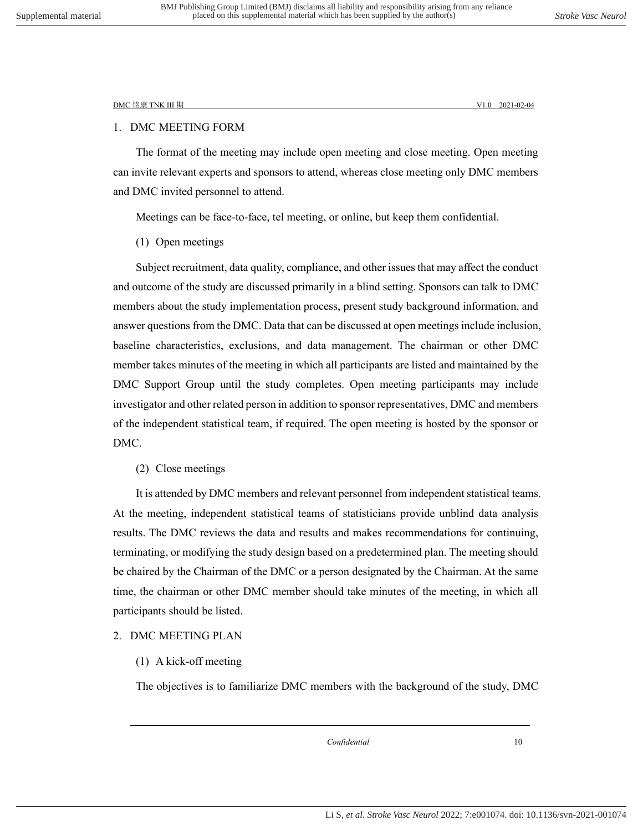#### <span id="page-19-0"></span>1. DMC MEETING FORM

The format of the meeting may include open meeting and close meeting. Open meeting can invite relevant experts and sponsors to attend, whereas close meeting only DMC members and DMC invited personnel to attend.

Meetings can be face-to-face, tel meeting, or online, but keep them confidential.

(1) Open meetings

Subject recruitment, data quality, compliance, and other issues that may affect the conduct and outcome of the study are discussed primarily in a blind setting. Sponsors can talk to DMC members about the study implementation process, present study background information, and answer questions from the DMC. Data that can be discussed at open meetings include inclusion, baseline characteristics, exclusions, and data management. The chairman or other DMC member takes minutes of the meeting in which all participants are listed and maintained by the DMC Support Group until the study completes. Open meeting participants may include investigator and other related person in addition to sponsor representatives, DMC and members of the independent statistical team, if required. The open meeting is [hosted](dic://word/hosted) by the sponsor or DMC.

(2) Close meetings

It is attended by DMC members and relevant personnel from independent statistical teams. At the meeting, independent statistical teams of statisticians provide unblind data analysis results. The DMC reviews the data and results and makes recommendations for continuing, terminating, or modifying the study design based on a predetermined plan. The meeting should be chaired by the Chairman of the DMC or a person designated by the Chairman. At the same time, the chairman or other DMC member should take minutes of the meeting, in which all participants should be listed.

#### <span id="page-19-1"></span>2. DMC MEETING PLAN

#### (1) A kick-off meeting

The objectives is to familiarize DMC members with the background of the study, DMC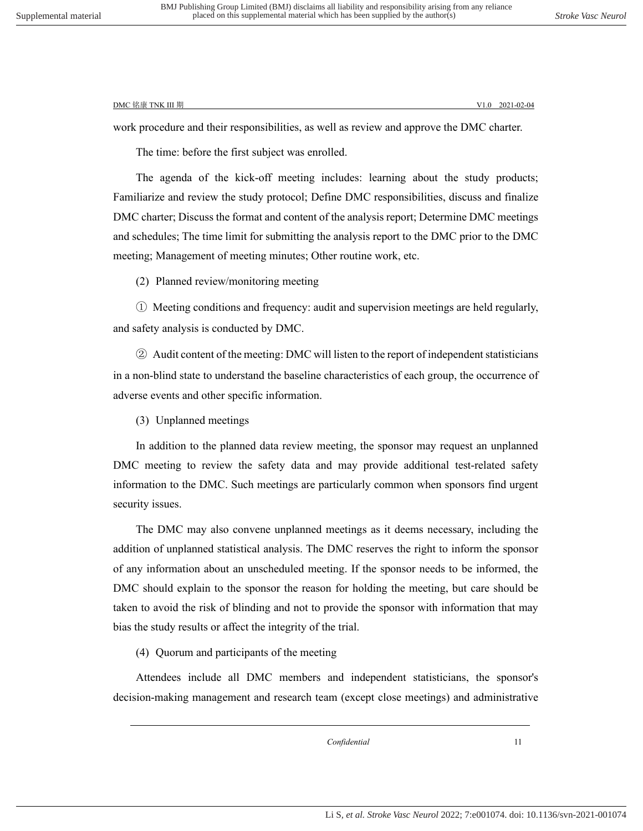work procedure and their responsibilities, as well as review and approve the DMC charter.

The time: before the first subject was enrolled.

The agenda of the kick-off meeting includes: learning about the study products; Familiarize and review the study protocol; Define DMC responsibilities, discuss and finalize DMC charter; Discuss the format and content of the analysis report; Determine DMC meetings and schedules; The time limit for submitting the analysis report to the DMC prior to the DMC meeting; Management of meeting minutes; Other routine work, etc.

(2) Planned review/monitoring meeting

① Meeting conditions and frequency: audit and supervision meetings are held regularly, and safety analysis is conducted by DMC.

② Audit content of the meeting: DMC will listen to the report of independent statisticians in a non-blind state to understand the baseline characteristics of each group, the occurrence of adverse events and other specific information.

(3) Unplanned meetings

In addition to the planned data review meeting, the sponsor may request an unplanned DMC meeting to review the safety data and may provide additional test-related safety information to the DMC. Such meetings are particularly common when sponsors find urgent security issues.

The DMC may also convene unplanned meetings as it deems necessary, including the addition of unplanned statistical analysis. The DMC reserves the right to inform the sponsor of any information about an unscheduled meeting. If the sponsor needs to be informed, the DMC should explain to the sponsor the reason for holding the meeting, but care should be taken to avoid the risk of blinding and not to provide the sponsor with information that may bias the study results or affect the integrity of the trial.

(4) Quorum and participants of the meeting

Attendees include all DMC members and independent statisticians, the sponsor's decision-making management and research team (except close meetings) and administrative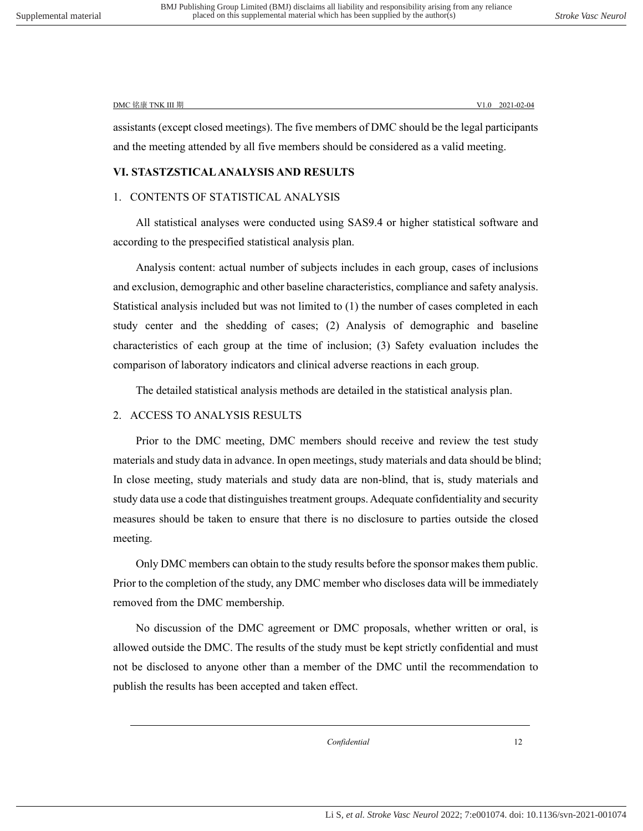<span id="page-21-0"></span>assistants (except closed meetings). The five members of DMC should be the legal participants and the meeting attended by all five members should be considered as a valid meeting.

#### <span id="page-21-1"></span>**Ⅵ. STASTZSTICAL ANALYSIS AND RESULTS**

#### 1. CONTENTS OF STATISTICAL ANALYSIS

All statistical analyses were conducted using SAS9.4 or higher statistical software and according to the prespecified statistical analysis plan.

Analysis content: actual number of subjects includes in each group, cases of inclusions and exclusion, demographic and other baseline characteristics, compliance and safety analysis. Statistical analysis included but was not limited to (1) the number of cases completed in each study center and the shedding of cases; (2) Analysis of demographic and baseline characteristics of each group at the time of inclusion; (3) Safety evaluation includes the comparison of laboratory indicators and clinical adverse reactions in each group.

The detailed statistical analysis methods are detailed in the statistical analysis plan.

#### <span id="page-21-2"></span>2. ACCESS TO ANALYSIS RESULTS

Prior to the DMC meeting, DMC members should receive and review the test study materials and study data in advance. In open meetings, study materials and data should be blind; In close meeting, study materials and study data are non-blind, that is, study materials and study data use a code that distinguishes treatment groups. Adequate confidentiality and security measures should be taken to ensure that there is no disclosure to parties outside the closed meeting.

Only DMC members can obtain to the study results before the sponsor makes them public. Prior to the completion of the study, any DMC member who discloses data will be immediately removed from the DMC membership.

No discussion of the DMC agreement or DMC proposals, whether written or oral, is allowed outside the DMC. The results of the study must be kept strictly confidential and must not be disclosed to anyone other than a member of the DMC until the recommendation to publish the results has been accepted and taken effect.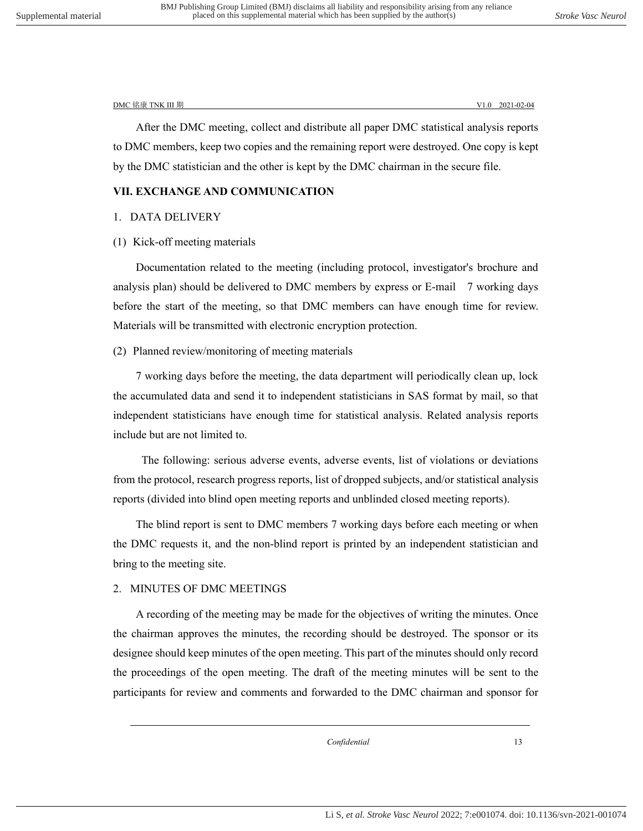After the DMC meeting, collect and distribute all paper DMC statistical analysis reports to DMC members, keep two copies and the remaining report were destroyed. One copy is kept by the DMC statistician and the other is kept by the DMC chairman in the secure file.

#### <span id="page-22-1"></span><span id="page-22-0"></span>**Ⅶ. EXCHANGE AND COMMUNICATION**

#### 1. DATA DELIVERY

#### (1) Kick-off meeting materials

Documentation related to the meeting (including protocol, investigator's brochure and analysis plan) should be delivered to DMC members by express or E-mail 7 working days before the start of the meeting, so that DMC members can have enough time for review. Materials will be transmitted with electronic encryption protection.

#### (2) Planned review/monitoring of meeting materials

7 working days before the meeting, the data department will periodically clean up, lock the accumulated data and send it to independent statisticians in SAS format by mail, so that independent statisticians have enough time for statistical analysis. Related analysis reports include but are not limited to.

The following: serious adverse events, adverse events, list of violations or deviations from the protocol, research progress reports, list of dropped subjects, and/or statistical analysis reports (divided into blind open meeting reports and unblinded closed meeting reports).

The blind report is sent to DMC members 7 working days before each meeting or when the DMC requests it, and the non-blind report is printed by an independent statistician and bring to the meeting site.

#### 2. MINUTES OF DMC MEETINGS

<span id="page-22-2"></span>A recording of the meeting may be made for the objectives of writing the minutes. Once the chairman approves the minutes, the recording should be destroyed. The sponsor or its designee should keep minutes of the open meeting. This part of the minutes should only record the proceedings of the open meeting. The draft of the meeting minutes will be sent to the participants for review and comments and forwarded to the DMC chairman and sponsor for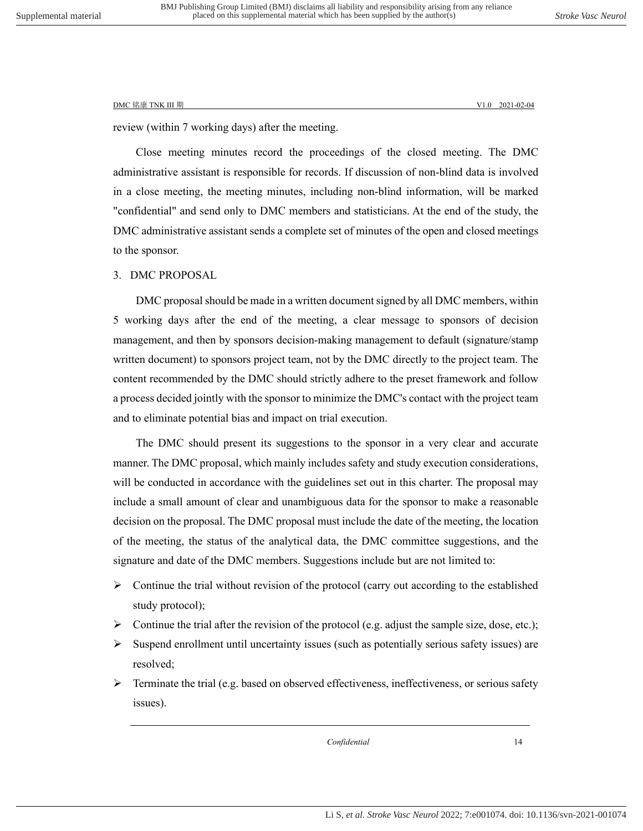review (within 7 working days) after the meeting.

Close meeting minutes record the proceedings of the closed meeting. The DMC administrative assistant is responsible for records. If discussion of non-blind data is involved in a close meeting, the meeting minutes, including non-blind information, will be marked "confidential" and send only to DMC members and statisticians. At the end of the study, the DMC administrative assistant sends a complete set of minutes of the open and closed meetings to the sponsor.

#### <span id="page-23-0"></span>3. DMC PROPOSAL

DMC proposal should be made in a written document signed by all DMC members, within 5 working days after the end of the meeting, a clear message to sponsors of decision management, and then by sponsors decision-making management to default (signature/stamp written document) to sponsors project team, not by the DMC directly to the project team. The content recommended by the DMC should strictly adhere to the preset framework and follow a process decided jointly with the sponsor to minimize the DMC's contact with the project team and to eliminate potential bias and impact on trial execution.

The DMC should present its suggestions to the sponsor in a very clear and accurate manner. The DMC proposal, which mainly includes safety and study execution considerations, will be conducted in accordance with the guidelines set out in this charter. The proposal may include a small amount of clear and unambiguous data for the sponsor to make a reasonable decision on the proposal. The DMC proposal must include the date of the meeting, the location of the meeting, the status of the analytical data, the DMC committee suggestions, and the signature and date of the DMC members. Suggestions include but are not limited to:

- $\triangleright$  Continue the trial without revision of the protocol (carry out according to the established study protocol);
- $\triangleright$  Continue the trial after the revision of the protocol (e.g. adjust the sample size, dose, etc.);
- $\triangleright$  Suspend enrollment until uncertainty issues (such as potentially serious safety issues) are resolved;
- $\triangleright$  Terminate the trial (e.g. based on observed effectiveness, ineffectiveness, or serious safety issues).